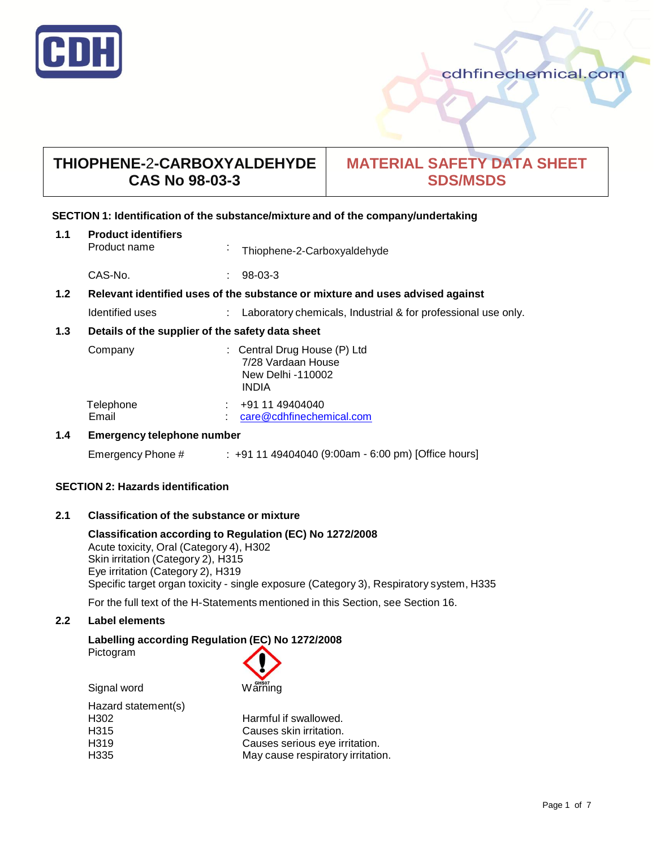

# cdhfinechemical.com

# **THIOPHENE-**2**-CARBOXYALDEHYDE CAS No 98-03-3**

# **MATERIAL SAFETY DATA SHEET SDS/MSDS**

# **SECTION 1: Identification of the substance/mixture and of the company/undertaking**

| 1.1 | <b>Product identifiers</b><br>Product name                                    |  | Thiophene-2-Carboxyaldehyde                                                             |
|-----|-------------------------------------------------------------------------------|--|-----------------------------------------------------------------------------------------|
|     | CAS-No.                                                                       |  | $98-03-3$                                                                               |
| 1.2 | Relevant identified uses of the substance or mixture and uses advised against |  |                                                                                         |
|     | Identified uses                                                               |  | Laboratory chemicals, Industrial & for professional use only.                           |
| 1.3 | Details of the supplier of the safety data sheet                              |  |                                                                                         |
|     | Company                                                                       |  | : Central Drug House (P) Ltd<br>7/28 Vardaan House<br>New Delhi -110002<br><b>INDIA</b> |
|     | Telephone<br>Email                                                            |  | +91 11 49404040<br>care@cdhfinechemical.com                                             |
| 1.4 | <b>Emergency telephone number</b>                                             |  |                                                                                         |

Emergency Phone # : +91 11 49404040 (9:00am - 6:00 pm) [Office hours]

# **SECTION 2: Hazards identification**

## **2.1 Classification of the substance or mixture**

**Classification according to Regulation (EC) No 1272/2008** Acute toxicity, Oral (Category 4), H302 Skin irritation (Category 2), H315 Eye irritation (Category 2), H319 Specific target organ toxicity - single exposure (Category 3), Respiratory system, H335

For the full text of the H-Statements mentioned in this Section, see Section 16.

# **2.2 Label elements**

# **Labelling according Regulation (EC) No 1272/2008**

Pictogram

Signal word

| Warning |  |
|---------|--|

| Hazard statement(s) |                                   |
|---------------------|-----------------------------------|
| H302                | Harmful if swallowed.             |
| H315                | Causes skin irritation.           |
| H319                | Causes serious eye irritation.    |
| H335                | May cause respiratory irritation. |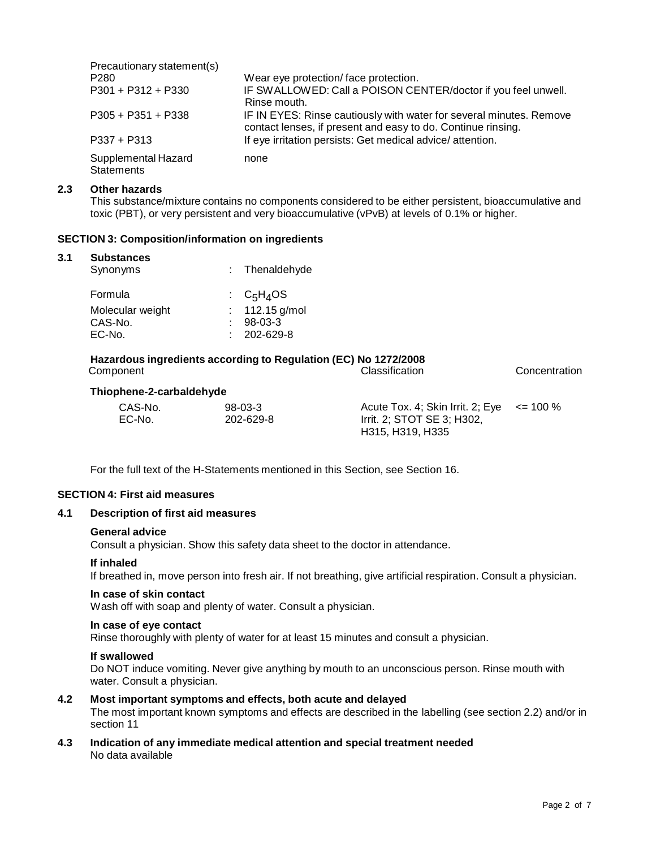| Precautionary statement(s)               |                                                                                                                                     |
|------------------------------------------|-------------------------------------------------------------------------------------------------------------------------------------|
| P <sub>280</sub>                         | Wear eye protection/face protection.                                                                                                |
| P301 + P312 + P330                       | IF SWALLOWED: Call a POISON CENTER/doctor if you feel unwell.<br>Rinse mouth.                                                       |
| $P305 + P351 + P338$                     | IF IN EYES: Rinse cautiously with water for several minutes. Remove<br>contact lenses, if present and easy to do. Continue rinsing. |
| $P337 + P313$                            | If eye irritation persists: Get medical advice/attention.                                                                           |
| Supplemental Hazard<br><b>Statements</b> | none                                                                                                                                |

#### **2.3 Other hazards**

This substance/mixture contains no components considered to be either persistent, bioaccumulative and toxic (PBT), or very persistent and very bioaccumulative (vPvB) at levels of 0.1% or higher.

### **SECTION 3: Composition/information on ingredients**

#### **3.1 Substances**

| Synonyms         | : Thenaldehyde    |  |
|------------------|-------------------|--|
| Formula          | : $C_5H_4OS$      |  |
| Molecular weight | : $112.15$ g/mol  |  |
| CAS-No.          | $98-03-3$         |  |
| EC-No.           | $: 202 - 629 - 8$ |  |

#### **Hazardous ingredients according to Regulation (EC) No 1272/2008** Classification Concentration

# **Thiophene-2-carbaldehyde**

| CAS-No. | $98-03-3$ | Acute Tox. 4; Skin Irrit. 2; Eye $\le$ = 100 % |  |
|---------|-----------|------------------------------------------------|--|
| EC-No.  | 202-629-8 | Irrit. 2; STOT SE 3; H302,                     |  |
|         |           | H315, H319, H335                               |  |

For the full text of the H-Statements mentioned in this Section, see Section 16.

#### **SECTION 4: First aid measures**

### **4.1 Description of first aid measures**

#### **General advice**

Consult a physician. Show this safety data sheet to the doctor in attendance.

#### **If inhaled**

If breathed in, move person into fresh air. If not breathing, give artificial respiration. Consult a physician.

#### **In case of skin contact**

Wash off with soap and plenty of water. Consult a physician.

### **In case of eye contact**

Rinse thoroughly with plenty of water for at least 15 minutes and consult a physician.

#### **If swallowed**

Do NOT induce vomiting. Never give anything by mouth to an unconscious person. Rinse mouth with water. Consult a physician.

# **4.2 Most important symptoms and effects, both acute and delayed**

The most important known symptoms and effects are described in the labelling (see section 2.2) and/or in section 11

**4.3 Indication of any immediate medical attention and special treatment needed** No data available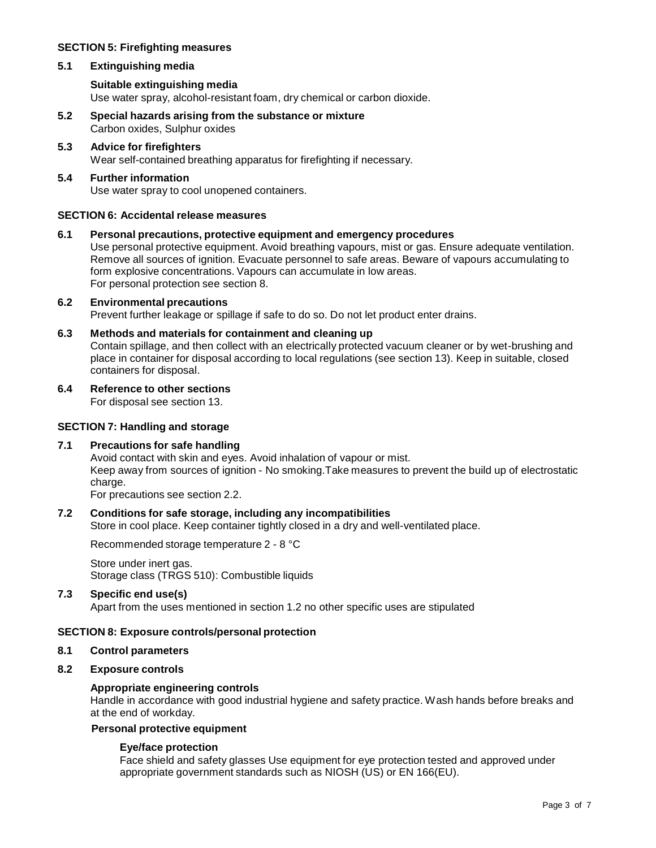# **SECTION 5: Firefighting measures**

### **5.1 Extinguishing media**

# **Suitable extinguishing media**

Use water spray, alcohol-resistant foam, dry chemical or carbon dioxide.

- **5.2 Special hazards arising from the substance or mixture** Carbon oxides, Sulphur oxides
- **5.3 Advice for firefighters** Wear self-contained breathing apparatus for firefighting if necessary.

## **5.4 Further information** Use water spray to cool unopened containers.

# **SECTION 6: Accidental release measures**

# **6.1 Personal precautions, protective equipment and emergency procedures**

Use personal protective equipment. Avoid breathing vapours, mist or gas. Ensure adequate ventilation. Remove all sources of ignition. Evacuate personnel to safe areas. Beware of vapours accumulating to form explosive concentrations. Vapours can accumulate in low areas. For personal protection see section 8.

# **6.2 Environmental precautions**

Prevent further leakage or spillage if safe to do so. Do not let product enter drains.

### **6.3 Methods and materials for containment and cleaning up**

Contain spillage, and then collect with an electrically protected vacuum cleaner or by wet-brushing and place in container for disposal according to local regulations (see section 13). Keep in suitable, closed containers for disposal.

# **6.4 Reference to other sections**

For disposal see section 13.

### **SECTION 7: Handling and storage**

### **7.1 Precautions for safe handling**

Avoid contact with skin and eyes. Avoid inhalation of vapour or mist. Keep away from sources of ignition - No smoking.Take measures to prevent the build up of electrostatic charge.

For precautions see section 2.2.

# **7.2 Conditions for safe storage, including any incompatibilities**

Store in cool place. Keep container tightly closed in a dry and well-ventilated place.

Recommended storage temperature 2 - 8 °C

Store under inert gas. Storage class (TRGS 510): Combustible liquids

### **7.3 Specific end use(s)**

Apart from the uses mentioned in section 1.2 no other specific uses are stipulated

# **SECTION 8: Exposure controls/personal protection**

# **8.1 Control parameters**

# **8.2 Exposure controls**

# **Appropriate engineering controls**

Handle in accordance with good industrial hygiene and safety practice. Wash hands before breaks and at the end of workday.

# **Personal protective equipment**

# **Eye/face protection**

Face shield and safety glasses Use equipment for eye protection tested and approved under appropriate government standards such as NIOSH (US) or EN 166(EU).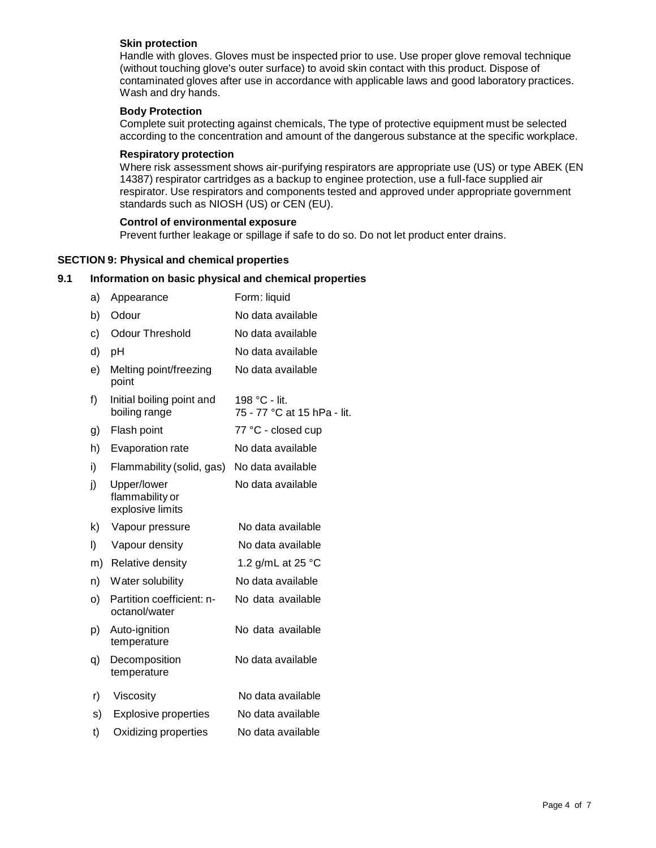### **Skin protection**

Handle with gloves. Gloves must be inspected prior to use. Use proper glove removal technique (without touching glove's outer surface) to avoid skin contact with this product. Dispose of contaminated gloves after use in accordance with applicable laws and good laboratory practices. Wash and dry hands.

### **Body Protection**

Complete suit protecting against chemicals, The type of protective equipment must be selected according to the concentration and amount of the dangerous substance at the specific workplace.

### **Respiratory protection**

Where risk assessment shows air-purifying respirators are appropriate use (US) or type ABEK (EN 14387) respirator cartridges as a backup to enginee protection, use a full-face supplied air respirator. Use respirators and components tested and approved under appropriate government standards such as NIOSH (US) or CEN (EU).

### **Control of environmental exposure**

Prevent further leakage or spillage if safe to do so. Do not let product enter drains.

# **SECTION 9: Physical and chemical properties**

### **9.1 Information on basic physical and chemical properties**

| a) | Appearance                                         | Form: liquid                                 |
|----|----------------------------------------------------|----------------------------------------------|
| b) | Odour                                              | No data available                            |
| c) | <b>Odour Threshold</b>                             | No data available                            |
| d) | рH                                                 | No data available                            |
| e) | Melting point/freezing<br>point                    | No data available                            |
| f) | Initial boiling point and<br>boiling range         | 198 °C - lit.<br>75 - 77 °C at 15 hPa - lit. |
| g) | Flash point                                        | 77 °C - closed cup                           |
| h) | Evaporation rate                                   | No data available                            |
| i) | Flammability (solid, gas)                          | No data available                            |
| j) | Upper/lower<br>flammability or<br>explosive limits | No data available                            |
| k) | Vapour pressure                                    | No data available                            |
| I) | Vapour density                                     | No data available                            |
| m) | Relative density                                   | 1.2 g/mL at 25 °C                            |
| n) | Water solubility                                   | No data available                            |
| O) | Partition coefficient: n-<br>octanol/water         | No data available                            |
| p) | Auto-ignition<br>temperature                       | No data available                            |
| q) | Decomposition<br>temperature                       | No data available                            |
| r) | Viscosity                                          | No data available                            |
| s) | <b>Explosive properties</b>                        | No data available                            |
| t) | Oxidizing properties                               | No data available                            |
|    |                                                    |                                              |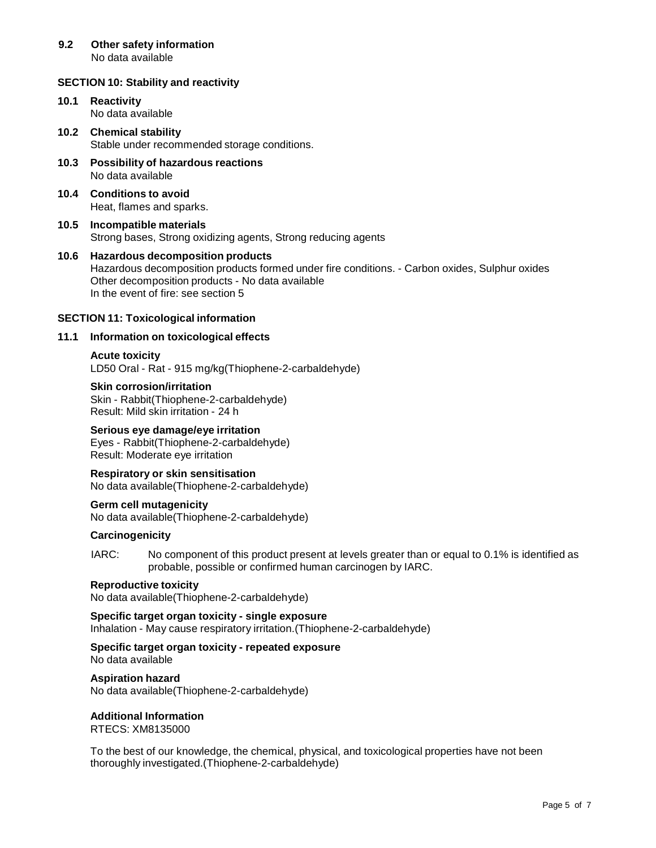#### **9.2 Other safety information** No data available

# **SECTION 10: Stability and reactivity**

- **10.1 Reactivity** No data available
- **10.2 Chemical stability** Stable under recommended storage conditions.
- **10.3 Possibility of hazardous reactions** No data available
- **10.4 Conditions to avoid** Heat, flames and sparks.
- **10.5 Incompatible materials** Strong bases, Strong oxidizing agents, Strong reducing agents
- **10.6 Hazardous decomposition products** Hazardous decomposition products formed under fire conditions. - Carbon oxides, Sulphur oxides Other decomposition products - No data available In the event of fire: see section 5

### **SECTION 11: Toxicological information**

# **11.1 Information on toxicological effects**

# **Acute toxicity**

LD50 Oral - Rat - 915 mg/kg(Thiophene-2-carbaldehyde)

**Skin corrosion/irritation** Skin - Rabbit(Thiophene-2-carbaldehyde) Result: Mild skin irritation - 24 h

# **Serious eye damage/eye irritation**

Eyes - Rabbit(Thiophene-2-carbaldehyde) Result: Moderate eye irritation

**Respiratory or skin sensitisation** No data available(Thiophene-2-carbaldehyde)

**Germ cell mutagenicity** No data available(Thiophene-2-carbaldehyde)

### **Carcinogenicity**

IARC: No component of this product present at levels greater than or equal to 0.1% is identified as probable, possible or confirmed human carcinogen by IARC.

# **Reproductive toxicity**

No data available(Thiophene-2-carbaldehyde)

**Specific target organ toxicity - single exposure**

Inhalation - May cause respiratory irritation.(Thiophene-2-carbaldehyde)

**Specific target organ toxicity - repeated exposure** No data available

### **Aspiration hazard**

No data available(Thiophene-2-carbaldehyde)

# **Additional Information**

RTECS: XM8135000

To the best of our knowledge, the chemical, physical, and toxicological properties have not been thoroughly investigated.(Thiophene-2-carbaldehyde)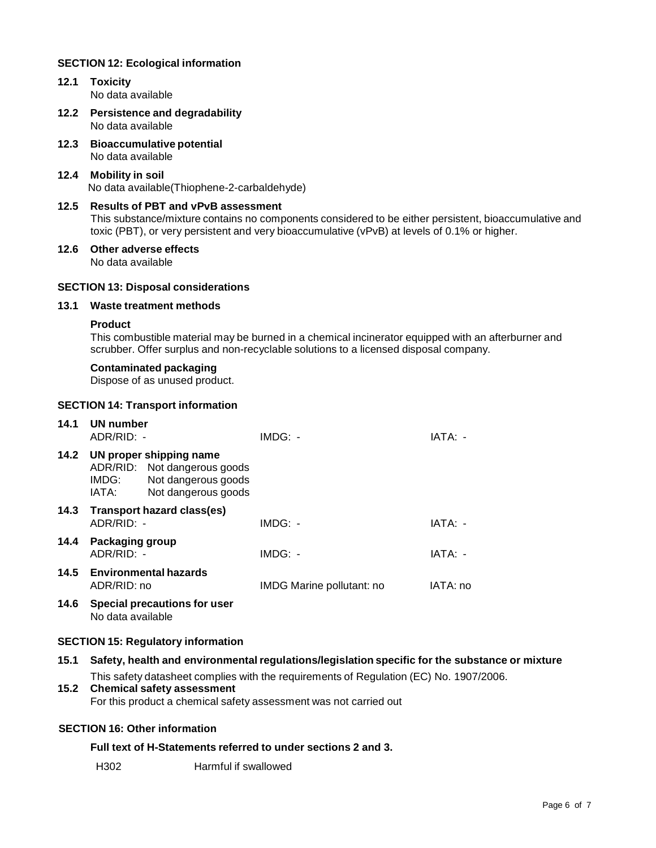# **SECTION 12: Ecological information**

- **12.1 Toxicity** No data available
- **12.2 Persistence and degradability** No data available
- **12.3 Bioaccumulative potential** No data available
- **12.4 Mobility in soil** No data available(Thiophene-2-carbaldehyde)

### **12.5 Results of PBT and vPvB assessment** This substance/mixture contains no components considered to be either persistent, bioaccumulative and toxic (PBT), or very persistent and very bioaccumulative (vPvB) at levels of 0.1% or higher.

**12.6 Other adverse effects** No data available

# **SECTION 13: Disposal considerations**

### **13.1 Waste treatment methods**

#### **Product**

This combustible material may be burned in a chemical incinerator equipped with an afterburner and scrubber. Offer surplus and non-recyclable solutions to a licensed disposal company.

#### **Contaminated packaging**

Dispose of as unused product.

#### **SECTION 14: Transport information**

|      | 14.1 UN number<br>$ADR/RID: -$ |                                                                                                            | $IMDG: -$                        | IATA: -  |
|------|--------------------------------|------------------------------------------------------------------------------------------------------------|----------------------------------|----------|
|      | IMDG:<br>IATA:                 | 14.2 UN proper shipping name<br>ADR/RID: Not dangerous goods<br>Not dangerous goods<br>Not dangerous goods |                                  |          |
|      | $ADR/RID: -$                   | 14.3 Transport hazard class(es)                                                                            | $IMDG: -$                        | IATA: -  |
| 14.4 | Packaging group<br>ADR/RID: -  |                                                                                                            | $IMDG: -$                        | IATA: -  |
|      | ADR/RID: no                    | 14.5 Environmental hazards                                                                                 | <b>IMDG Marine pollutant: no</b> | IATA: no |
|      |                                |                                                                                                            |                                  |          |

**14.6 Special precautions for user** No data available

### **SECTION 15: Regulatory information**

| 15.1 | Safety, health and environmental regulations/legislation specific for the substance or mixture |
|------|------------------------------------------------------------------------------------------------|
|      | This safety datasheet complies with the requirements of Regulation (EC) No. 1907/2006.         |
| 15.2 | <b>Chemical safety assessment</b>                                                              |
|      | For this product a chemical safety assessment was not carried out                              |
|      |                                                                                                |
|      | <b>SECTION 16: Other information</b>                                                           |

### **Full text of H-Statements referred to under sections 2 and 3.**

H302 Harmful if swallowed